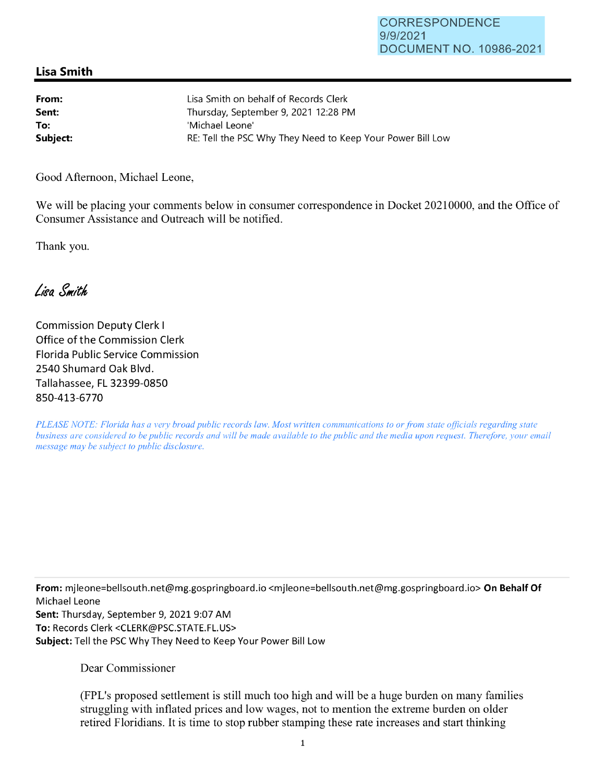## **Lisa Smith**

| From:    | Lisa Smith on behalf of Records Clerk                      |
|----------|------------------------------------------------------------|
| Sent:    | Thursday, September 9, 2021 12:28 PM                       |
| To:      | 'Michael Leone'                                            |
| Subject: | RE: Tell the PSC Why They Need to Keep Your Power Bill Low |

Good Afternoon, Michael Leone,

We will be placing your comments below in consumer correspondence in Docket 20210000, and the Office of Consumer Assistance and Outreach will be notified.

Thank you.

Lisa Smith

Commission Deputy Clerk I Office of the Commission Clerk Florida Public Service Commission 2540 Shumard Oak Blvd. Tallahassee, FL 32399-0850 850-413-6770

*PLEASE NOTE: Florida has a very broad public records law. Most written communications to or from state officials regarding state business are considered to be public records and will be made available to the public and the media upon request. Therefore, your email message may be subject to public disclosure.* 

**From:** mjleone=bellsouth.net@mg.gospringboard.io <mjleone=bellsouth.net@mg.gospringboard.io> **On Behalf Of**  Michael Leone **Sent:** Thursday, September 9, 2021 9:07 AM **To:** Records Clerk <CLERK@PSC.STATE.FL.US> **Subject:** Tell the PSC Why They Need to Keep Your Power Bill Low

Dear Commissioner

(FPL's proposed settlement is still much too high and will be a huge burden on many families struggling with inflated prices and low wages, not to mention the extreme burden on older retired Floridians. It is time to stop rubber stamping these rate increases and start thinking